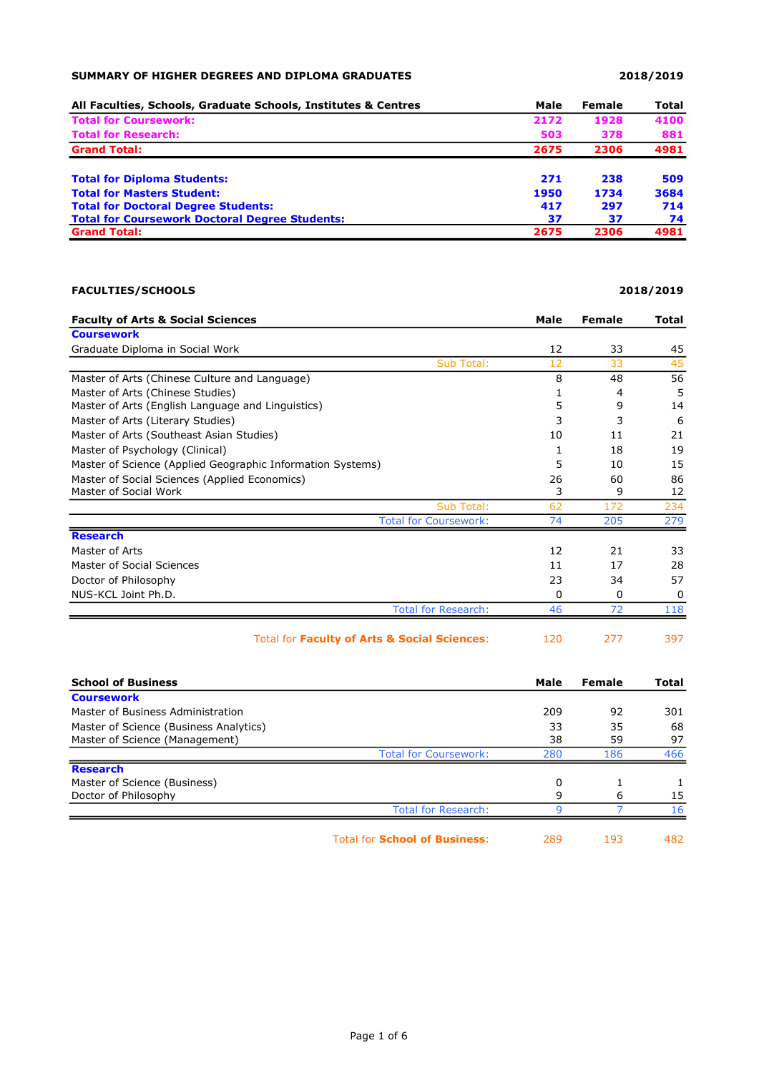## SUMMARY OF HIGHER DEGREES AND DIPLOMA GRADUATES 2018/2019

| All Faculties, Schools, Graduate Schools, Institutes & Centres | Male | Female | Total |
|----------------------------------------------------------------|------|--------|-------|
| <b>Total for Coursework:</b>                                   | 2172 | 1928   | 4100  |
| <b>Total for Research:</b>                                     | 503  | 378    | 881   |
| <b>Grand Total:</b>                                            | 2675 | 2306   | 4981  |
| <b>Total for Diploma Students:</b>                             | 271  | 238    | 509   |
| <b>Total for Masters Student:</b>                              | 1950 | 1734   | 3684  |
| <b>Total for Doctoral Degree Students:</b>                     | 417  | 297    | 714   |
| <b>Total for Coursework Doctoral Degree Students:</b>          | 37   | 37     | 74    |
| <b>Grand Total:</b>                                            | 2675 | 2306   | 4981  |

## FACULTIES/SCHOOLS 2018/2019

| <b>Faculty of Arts &amp; Social Sciences</b>               | Male | <b>Female</b> | <b>Total</b> |
|------------------------------------------------------------|------|---------------|--------------|
| <b>Coursework</b>                                          |      |               |              |
| Graduate Diploma in Social Work                            | 12   | 33            | 45           |
| Sub Total:                                                 | 12   | 33            | 45           |
| Master of Arts (Chinese Culture and Language)              | 8    | 48            | 56           |
| Master of Arts (Chinese Studies)                           |      | 4             | 5            |
| Master of Arts (English Language and Linguistics)          | 5    | 9             | 14           |
| Master of Arts (Literary Studies)                          | 3    | 3             | 6            |
| Master of Arts (Southeast Asian Studies)                   | 10   | 11            | 21           |
| Master of Psychology (Clinical)                            |      | 18            | 19           |
| Master of Science (Applied Geographic Information Systems) | 5    | 10            | 15           |
| Master of Social Sciences (Applied Economics)              | 26   | 60            | 86           |
| Master of Social Work                                      | 3    | 9             | 12           |
| Sub Total:                                                 | 62   | 172           | 234          |
| <b>Total for Coursework:</b>                               | 74   | 205           | 279          |
| <b>Research</b>                                            |      |               |              |
| Master of Arts                                             | 12   | 21            | 33           |
| Master of Social Sciences                                  | 11   | 17            | 28           |
| Doctor of Philosophy                                       | 23   | 34            | 57           |
| NUS-KCL Joint Ph.D.                                        | 0    | 0             | $\Omega$     |
| <b>Total for Research:</b>                                 | 46   | 72            | 118          |
| Total for Faculty of Arts & Social Sciences:               | 120  | 277           | 397          |

| <b>School of Business</b>              |                                      | Male | Female | Total |
|----------------------------------------|--------------------------------------|------|--------|-------|
| <b>Coursework</b>                      |                                      |      |        |       |
| Master of Business Administration      |                                      | 209  | 92     | 301   |
| Master of Science (Business Analytics) |                                      | 33   | 35     | 68    |
| Master of Science (Management)         |                                      | 38   | 59     | 97    |
|                                        | <b>Total for Coursework:</b>         | 280  | 186    | 466   |
| <b>Research</b>                        |                                      |      |        |       |
| Master of Science (Business)           |                                      | 0    |        |       |
| Doctor of Philosophy                   |                                      | 9    | 6      | 15    |
|                                        | <b>Total for Research:</b>           |      |        | 16    |
|                                        | <b>Total for School of Business:</b> | 289  | 193    | 482   |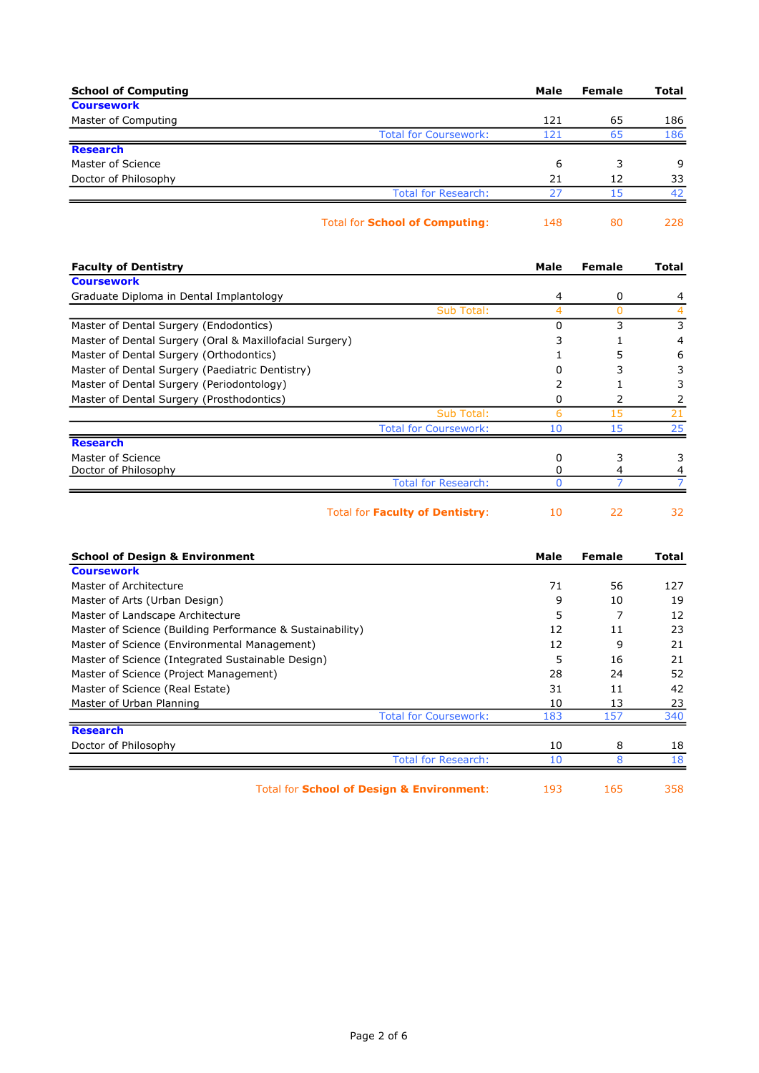| <b>School of Computing</b>            |                              | Male | <b>Female</b> | <b>Total</b> |
|---------------------------------------|------------------------------|------|---------------|--------------|
| <b>Coursework</b>                     |                              |      |               |              |
| Master of Computing                   |                              | 121  | 65            | 186          |
|                                       | <b>Total for Coursework:</b> | 121  | 65            | 186          |
| <b>Research</b>                       |                              |      |               |              |
| Master of Science                     |                              | 6    | 3             | 9            |
| Doctor of Philosophy                  |                              | 21   | 12            | 33           |
|                                       | <b>Total for Research:</b>   | 27   | 15            | 42           |
| <b>Total for School of Computing:</b> |                              | 148  | 80            | 228          |

| <b>Faculty of Dentistry</b>                             | Male | Female | Total |
|---------------------------------------------------------|------|--------|-------|
| <b>Coursework</b>                                       |      |        |       |
| Graduate Diploma in Dental Implantology                 | 4    | 0      | 4     |
| Sub Total:                                              | 4    | 0      |       |
| Master of Dental Surgery (Endodontics)                  | ი    | 3      | 3     |
| Master of Dental Surgery (Oral & Maxillofacial Surgery) |      |        |       |
| Master of Dental Surgery (Orthodontics)                 |      |        | 6     |
| Master of Dental Surgery (Paediatric Dentistry)         |      |        |       |
| Master of Dental Surgery (Periodontology)               |      |        |       |
| Master of Dental Surgery (Prosthodontics)               | O    |        |       |
| Sub Total:                                              | 6    | 15     | 21    |
| <b>Total for Coursework:</b>                            | 10   | 15     | 25    |
| <b>Research</b>                                         |      |        |       |
| Master of Science                                       | 0    |        |       |
| Doctor of Philosophy                                    |      |        |       |
| <b>Total for Research:</b>                              |      |        |       |
| Total for <b>Faculty of Dentistry:</b>                  | 10   | 22     | 32    |

| <b>School of Design &amp; Environment</b>                 | Male | <b>Female</b> | Total |
|-----------------------------------------------------------|------|---------------|-------|
| <b>Coursework</b>                                         |      |               |       |
| Master of Architecture                                    | 71   | 56            | 127   |
| Master of Arts (Urban Design)                             | 9    | 10            | 19    |
| Master of Landscape Architecture                          | 5    |               | 12    |
| Master of Science (Building Performance & Sustainability) | 12   | 11            | 23    |
| Master of Science (Environmental Management)              | 12   | 9             | 21    |
| Master of Science (Integrated Sustainable Design)         | 5    | 16            | 21    |
| Master of Science (Project Management)                    | 28   | 24            | 52    |
| Master of Science (Real Estate)                           | 31   | 11            | 42    |
| Master of Urban Planning                                  | 10   | 13            | 23    |
| <b>Total for Coursework:</b>                              | 183  | 157           | 340   |
| <b>Research</b>                                           |      |               |       |
| Doctor of Philosophy                                      | 10   | 8             | 18    |
| <b>Total for Research:</b>                                | 10   | 8             | 18    |
|                                                           |      |               |       |

Total for **School of Design & Environment**: 193 165 358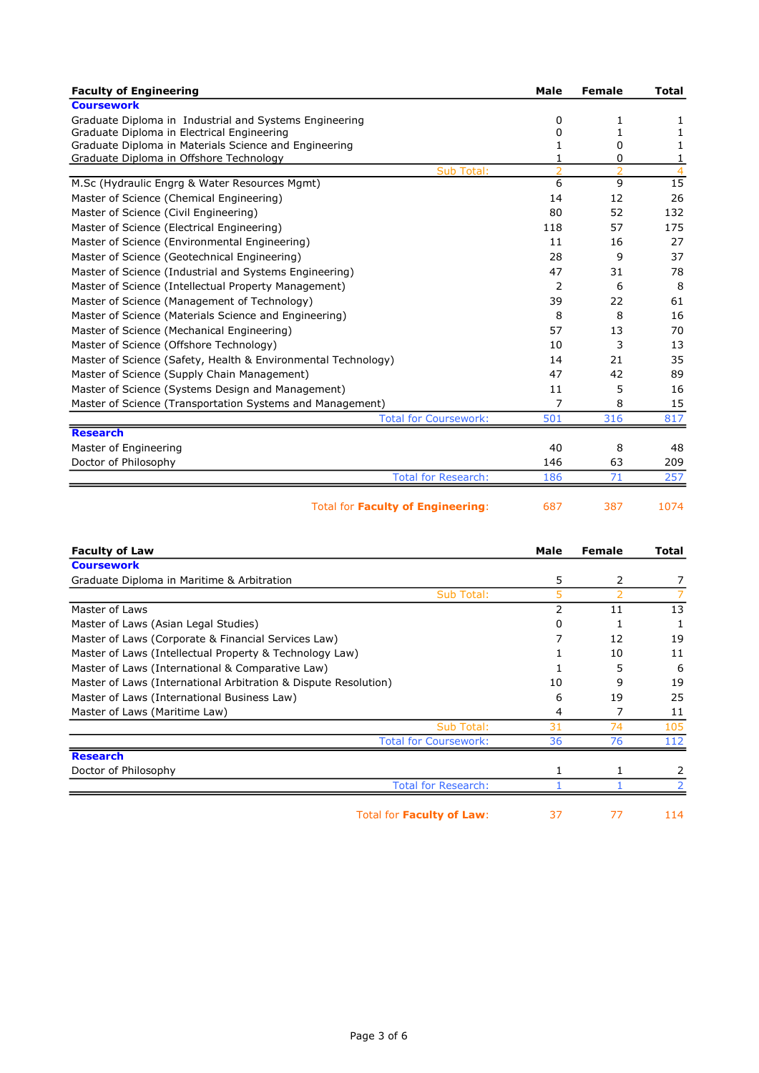| <b>Faculty of Engineering</b>                                 | Male                | Female         | <b>Total</b>         |
|---------------------------------------------------------------|---------------------|----------------|----------------------|
| <b>Coursework</b>                                             |                     |                |                      |
| Graduate Diploma in Industrial and Systems Engineering        | 0                   | 1              | 1                    |
| Graduate Diploma in Electrical Engineering                    | 0                   | 1              |                      |
| Graduate Diploma in Materials Science and Engineering         | 1                   | 0              | 1                    |
| Graduate Diploma in Offshore Technology                       |                     | 0              | 1                    |
| <b>Sub Total:</b>                                             | $\overline{z}$<br>6 | $\overline{2}$ | $\overline{4}$<br>15 |
| M.Sc (Hydraulic Engrg & Water Resources Mgmt)                 |                     | 9              |                      |
| Master of Science (Chemical Engineering)                      | 14                  | 12             | 26                   |
| Master of Science (Civil Engineering)                         | 80                  | 52             | 132                  |
| Master of Science (Electrical Engineering)                    | 118                 | 57             | 175                  |
| Master of Science (Environmental Engineering)                 | 11                  | 16             | 27                   |
| Master of Science (Geotechnical Engineering)                  | 28                  | 9              | 37                   |
| Master of Science (Industrial and Systems Engineering)        | 47                  | 31             | 78                   |
| Master of Science (Intellectual Property Management)          | 2                   | 6              | 8                    |
| Master of Science (Management of Technology)                  | 39                  | 22             | 61                   |
| Master of Science (Materials Science and Engineering)         | 8                   | 8              | 16                   |
| Master of Science (Mechanical Engineering)                    | 57                  | 13             | 70                   |
| Master of Science (Offshore Technology)                       | 10                  | 3              | 13                   |
| Master of Science (Safety, Health & Environmental Technology) | 14                  | 21             | 35                   |
| Master of Science (Supply Chain Management)                   | 47                  | 42             | 89                   |
| Master of Science (Systems Design and Management)             | 11                  | 5              | 16                   |
| Master of Science (Transportation Systems and Management)     | 7                   | 8              | 15                   |
| <b>Total for Coursework:</b>                                  | 501                 | 316            | 817                  |
| <b>Research</b>                                               |                     |                |                      |
| Master of Engineering                                         | 40                  | 8              | 48                   |
| Doctor of Philosophy                                          | 146                 | 63             | 209                  |
| <b>Total for Research:</b>                                    | 186                 | 71             | 257                  |
|                                                               |                     |                |                      |

Total for Faculty of Engineering: 687 387 1074

| <b>Faculty of Law</b>                                           | Male | <b>Female</b>            | Total |
|-----------------------------------------------------------------|------|--------------------------|-------|
| <b>Coursework</b>                                               |      |                          |       |
| Graduate Diploma in Maritime & Arbitration                      | 5    | 2                        |       |
| Sub Total:                                                      | 5    | $\overline{\phantom{a}}$ |       |
| Master of Laws                                                  | 2    | 11                       | 13    |
| Master of Laws (Asian Legal Studies)                            | 0    |                          |       |
| Master of Laws (Corporate & Financial Services Law)             |      | 12                       | 19    |
| Master of Laws (Intellectual Property & Technology Law)         |      | 10                       | 11    |
| Master of Laws (International & Comparative Law)                |      | 5                        | 6     |
| Master of Laws (International Arbitration & Dispute Resolution) | 10   | 9                        | 19    |
| Master of Laws (International Business Law)                     | 6    | 19                       | 25    |
| Master of Laws (Maritime Law)                                   | 4    | 7                        | 11    |
| <b>Sub Total:</b>                                               | 31   | 74                       | 105   |
| <b>Total for Coursework:</b>                                    | 36   | 76                       | 112   |
| <b>Research</b>                                                 |      |                          |       |
| Doctor of Philosophy                                            |      | 1                        | 2     |
| <b>Total for Research:</b>                                      |      |                          |       |
| Total for <b>Faculty of Law:</b>                                | 37   | 77                       | 114   |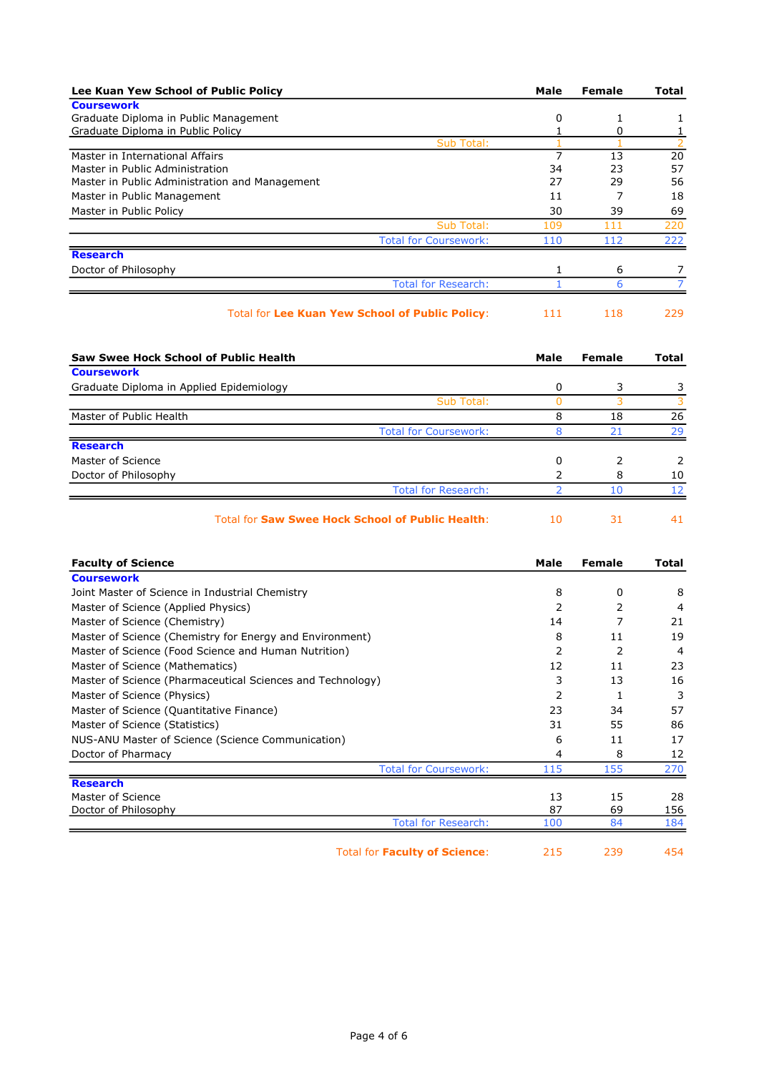| Lee Kuan Yew School of Public Policy                   | Male | Female | Total |
|--------------------------------------------------------|------|--------|-------|
| <b>Coursework</b>                                      |      |        |       |
| Graduate Diploma in Public Management                  | 0    |        |       |
| Graduate Diploma in Public Policy                      |      | ი      |       |
| Sub Total:                                             |      |        |       |
| Master in International Affairs                        |      | 13     | 20    |
| Master in Public Administration                        | 34   | 23     | 57    |
| Master in Public Administration and Management         | 27   | 29     | 56    |
| Master in Public Management                            | 11   |        | 18    |
| Master in Public Policy                                | 30   | 39     | 69    |
| Sub Total:                                             | 109  | 111    | 220   |
| <b>Total for Coursework:</b>                           | 110  | 112    | 222   |
| <b>Research</b>                                        |      |        |       |
| Doctor of Philosophy                                   |      | 6      |       |
| <b>Total for Research:</b>                             |      | 6      |       |
| <b>Total for Lee Kuan Yew School of Public Policy:</b> | 111  | 118    | 229   |

| Saw Swee Hock School of Public Health    |                                                         | Male | Female | Total |
|------------------------------------------|---------------------------------------------------------|------|--------|-------|
| <b>Coursework</b>                        |                                                         |      |        |       |
| Graduate Diploma in Applied Epidemiology |                                                         | 0    | 3      |       |
|                                          | Sub Total:                                              |      |        |       |
| Master of Public Health                  |                                                         | 8    | 18     | 26    |
|                                          | <b>Total for Coursework:</b>                            |      | 21     | 29    |
| <b>Research</b>                          |                                                         |      |        |       |
| Master of Science                        |                                                         | 0    |        |       |
| Doctor of Philosophy                     |                                                         |      | 8      | 10    |
|                                          | <b>Total for Research:</b>                              |      | 10     | 12    |
|                                          | <b>Total for Saw Swee Hock School of Public Health:</b> | 10   | 31     | 41    |

| <b>Faculty of Science</b>                                  | Male | Female | Total           |
|------------------------------------------------------------|------|--------|-----------------|
| <b>Coursework</b>                                          |      |        |                 |
| Joint Master of Science in Industrial Chemistry            | 8    | 0      | 8               |
| Master of Science (Applied Physics)                        | 2    | 2      | 4               |
| Master of Science (Chemistry)                              | 14   |        | 21              |
| Master of Science (Chemistry for Energy and Environment)   | 8    | 11     | 19              |
| Master of Science (Food Science and Human Nutrition)       |      | 2      | 4               |
| Master of Science (Mathematics)                            | 12   | 11     | 23              |
| Master of Science (Pharmaceutical Sciences and Technology) | 3    | 13     | 16              |
| Master of Science (Physics)                                | 2    | 1      | 3               |
| Master of Science (Quantitative Finance)                   | 23   | 34     | 57              |
| Master of Science (Statistics)                             | 31   | 55     | 86              |
| NUS-ANU Master of Science (Science Communication)          | 6    | 11     | 17              |
| Doctor of Pharmacy                                         | 4    | 8      | 12              |
| <b>Total for Coursework:</b>                               | 115  | 155    | 270             |
| <b>Research</b>                                            |      |        |                 |
| Master of Science                                          | 13   | 15     | 28              |
| Doctor of Philosophy                                       | 87   | 69     | 156             |
| <b>Total for Research:</b>                                 | 100  | 84     | 184             |
| - すっとこと キュル (音声) こうほん こうそう あっちょうこうこう                       | 24E  | 222    | $A \sqsubset A$ |

Total for Faculty of Science: 215 239 454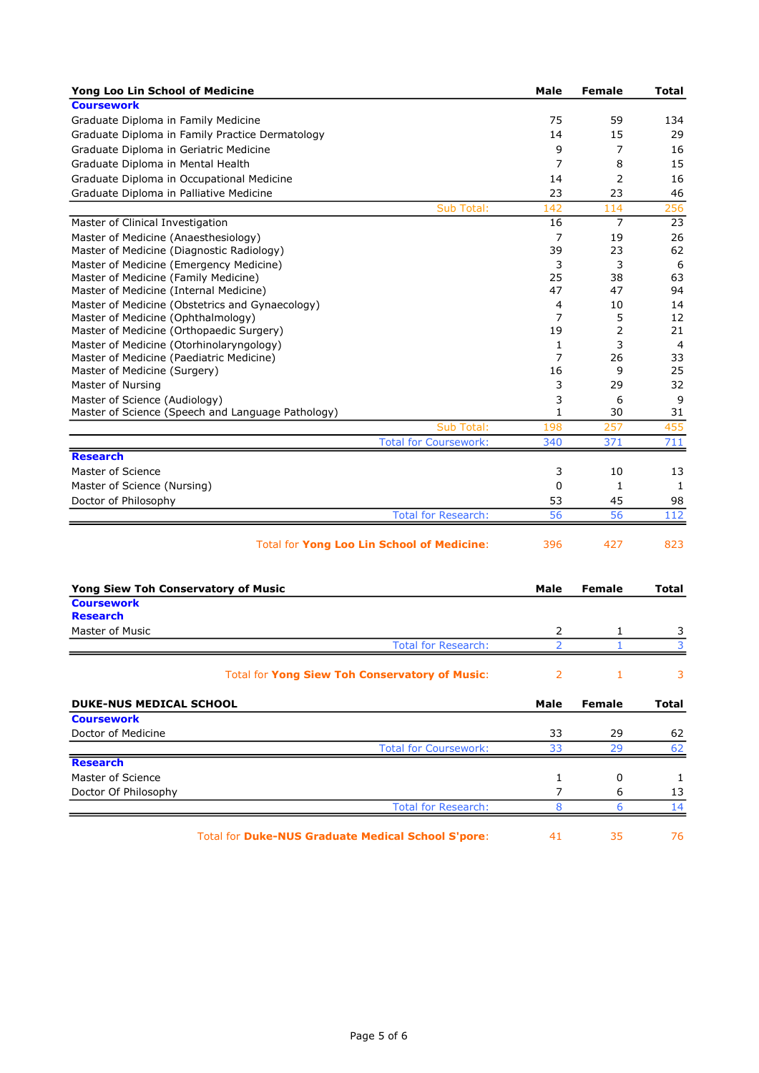| Yong Loo Lin School of Medicine                                                    | Male           | <b>Female</b> | Total          |
|------------------------------------------------------------------------------------|----------------|---------------|----------------|
| <b>Coursework</b>                                                                  |                |               |                |
| Graduate Diploma in Family Medicine                                                | 75             | 59            | 134            |
| Graduate Diploma in Family Practice Dermatology                                    | 14             | 15            | 29             |
| Graduate Diploma in Geriatric Medicine                                             | 9              | 7             | 16             |
| Graduate Diploma in Mental Health                                                  | 7              | 8             | 15             |
| Graduate Diploma in Occupational Medicine                                          | 14             | 2             | 16             |
| Graduate Diploma in Palliative Medicine                                            | 23             | 23            | 46             |
| Sub Total:                                                                         | 142            | 114           | 256            |
| Master of Clinical Investigation                                                   | 16             | 7             | 23             |
| Master of Medicine (Anaesthesiology)                                               | 7              | 19            | 26             |
| Master of Medicine (Diagnostic Radiology)                                          | 39             | 23            | 62             |
| Master of Medicine (Emergency Medicine)                                            | 3              | 3             | 6              |
| Master of Medicine (Family Medicine)                                               | 25             | 38            | 63             |
| Master of Medicine (Internal Medicine)                                             | 47             | 47            | 94             |
| Master of Medicine (Obstetrics and Gynaecology)                                    | 4              | 10            | 14             |
| Master of Medicine (Ophthalmology)                                                 | 7              | 5             | 12             |
| Master of Medicine (Orthopaedic Surgery)                                           | 19             | 2             | 21             |
| Master of Medicine (Otorhinolaryngology)                                           | 1              | 3             | $\overline{4}$ |
| Master of Medicine (Paediatric Medicine)<br>Master of Medicine (Surgery)           | 7<br>16        | 26<br>9       | 33<br>25       |
|                                                                                    | 3              | 29            | 32             |
| Master of Nursing                                                                  |                |               |                |
| Master of Science (Audiology)<br>Master of Science (Speech and Language Pathology) | 3<br>1         | 6<br>30       | 9<br>31        |
| Sub Total:                                                                         | 198            | 257           | 455            |
| <b>Total for Coursework:</b>                                                       | 340            | 371           | 711            |
| <b>Research</b>                                                                    |                |               |                |
| Master of Science                                                                  | 3              | 10            | 13             |
| Master of Science (Nursing)                                                        | 0              | 1             | 1              |
|                                                                                    | 53             | 45            | 98             |
| Doctor of Philosophy                                                               | 56             | 56            |                |
| <b>Total for Research:</b>                                                         |                |               | 112            |
| <b>Total for Yong Loo Lin School of Medicine:</b>                                  | 396            | 427           | 823            |
| <b>Yong Siew Toh Conservatory of Music</b>                                         | Male           | <b>Female</b> | Total          |
| <b>Coursework</b>                                                                  |                |               |                |
| <b>Research</b>                                                                    |                |               |                |
| Master of Music                                                                    | 2              | 1             | 3              |
| <b>Total for Research:</b>                                                         | $\overline{2}$ | $\mathbf{1}$  | $\overline{3}$ |
| Total for Yong Siew Toh Conservatory of Music:                                     | 2              | 1             | 3              |
| <b>DUKE-NUS MEDICAL SCHOOL</b>                                                     | Male           | <b>Female</b> | Total          |
| <b>Coursework</b>                                                                  |                |               |                |
| Doctor of Medicine                                                                 | 33             | 29            | 62             |
| <b>Total for Coursework:</b>                                                       | 33             | 29            | 62             |
| <b>Research</b>                                                                    |                |               |                |
| Master of Science                                                                  | 1              | 0             | 1              |
| Doctor Of Philosophy                                                               | 7              | 6             | 13             |
| <b>Total for Research:</b>                                                         | 8              | 6             | 14             |
|                                                                                    |                |               |                |
| Total for Duke-NUS Graduate Medical School S'pore:                                 | 41             | 35            | 76             |